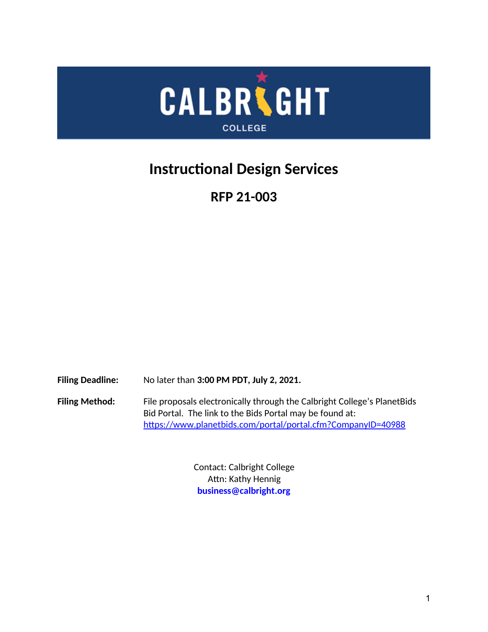

# <span id="page-0-0"></span>**Instructional Design Services**

**RFP 21-003**

**Filing Deadline:** No later than **3:00 PM PDT, July 2, 2021.**

**Filing Method:** File proposals electronically through the Calbright College's PlanetBids Bid Portal. The link to the Bids Portal may be found at: <https://www.planetbids.com/portal/portal.cfm?CompanyID=40988>

> Contact: Calbright College Attn: Kathy Hennig **business@calbright.org**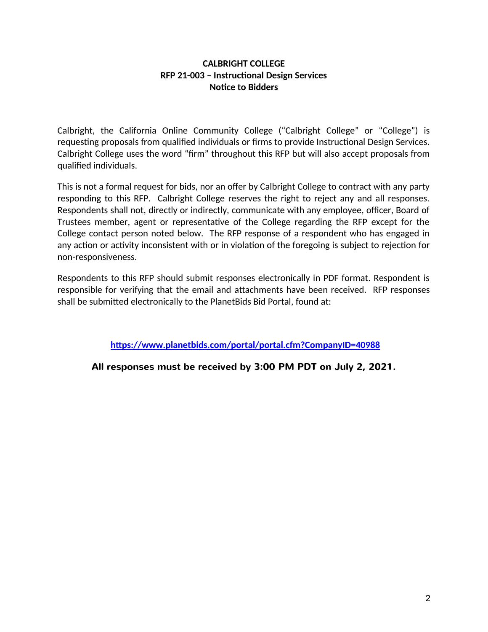### **CALBRIGHT COLLEGE RFP 21-003 – Instructional Design Services Notice to Bidders**

Calbright, the California Online Community College ("Calbright College" or "College") is requesting proposals from qualified individuals or firms to provide Instructional Design Services. Calbright College uses the word "firm" throughout this RFP but will also accept proposals from qualified individuals.

This is not a formal request for bids, nor an offer by Calbright College to contract with any party responding to this RFP. Calbright College reserves the right to reject any and all responses. Respondents shall not, directly or indirectly, communicate with any employee, officer, Board of Trustees member, agent or representative of the College regarding the RFP except for the College contact person noted below. The RFP response of a respondent who has engaged in any action or activity inconsistent with or in violation of the foregoing is subject to rejection for non-responsiveness.

Respondents to this RFP should submit responses electronically in PDF format. Respondent is responsible for verifying that the email and attachments have been received. RFP responses shall be submitted electronically to the PlanetBids Bid Portal, found at:

**<https://www.planetbids.com/portal/portal.cfm?CompanyID=40988>**

**All responses must be received by 3:00 PM PDT on July 2, 2021.**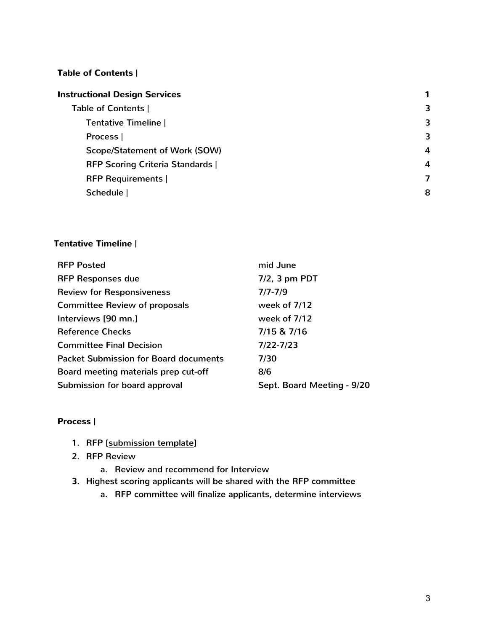### <span id="page-2-2"></span>**Table of Contents |**

| <b>Instructional Design Services</b>    |                  |
|-----------------------------------------|------------------|
| Table of Contents                       | 3                |
| <b>Tentative Timeline  </b>             | 3                |
| Process                                 | 3                |
| <b>Scope/Statement of Work (SOW)</b>    | $\boldsymbol{A}$ |
| <b>RFP Scoring Criteria Standards  </b> | $\boldsymbol{A}$ |
| <b>RFP Requirements</b>                 | 7                |
| Schedule                                | 8                |
|                                         |                  |

### <span id="page-2-1"></span>**Tentative Timeline |**

| <b>RFP Posted</b>                            | mid June                   |
|----------------------------------------------|----------------------------|
| <b>RFP Responses due</b>                     | $7/2$ , 3 pm PDT           |
| <b>Review for Responsiveness</b>             | $7/7 - 7/9$                |
| <b>Committee Review of proposals</b>         | week of 7/12               |
| Interviews [90 mn.]                          | week of 7/12               |
| <b>Reference Checks</b>                      | 7/15 & 7/16                |
| <b>Committee Final Decision</b>              | $7/22 - 7/23$              |
| <b>Packet Submission for Board documents</b> | 7/30                       |
| Board meeting materials prep cut-off         | 8/6                        |
| Submission for board approval                | Sept. Board Meeting - 9/20 |

### <span id="page-2-0"></span>**Process |**

- 1. RFP [submission template]
- 2. RFP Review
	- a. Review and recommend for Interview
- 3. Highest scoring applicants will be shared with the RFP committee
	- a. RFP committee will finalize applicants, determine interviews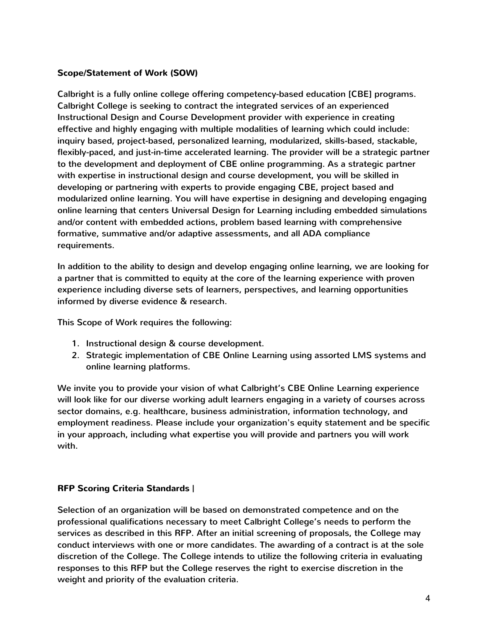### <span id="page-3-1"></span>**Scope/Statement of Work (SOW)**

Calbright is a fully online college offering competency-based education [CBE] programs. Calbright College is seeking to contract the integrated services of an experienced Instructional Design and Course Development provider with experience in creating effective and highly engaging with multiple modalities of learning which could include: inquiry based, project-based, personalized learning, modularized, skills-based, stackable, flexibly-paced, and just-in-time accelerated learning. The provider will be a strategic partner to the development and deployment of CBE online programming. As a strategic partner with expertise in instructional design and course development, you will be skilled in developing or partnering with experts to provide engaging CBE, project based and modularized online learning. You will have expertise in designing and developing engaging online learning that centers Universal Design for Learning including embedded simulations and/or content with embedded actions, problem based learning with comprehensive formative, summative and/or adaptive assessments, and all ADA compliance requirements.

In addition to the ability to design and develop engaging online learning, we are looking for a partner that is committed to equity at the core of the learning experience with proven experience including diverse sets of learners, perspectives, and learning opportunities informed by diverse evidence & research.

This Scope of Work requires the following:

- 1. Instructional design & course development.
- 2. Strategic implementation of CBE Online Learning using assorted LMS systems and online learning platforms.

We invite you to provide your vision of what Calbright's CBE Online Learning experience will look like for our diverse working adult learners engaging in a variety of courses across sector domains, e.g. healthcare, business administration, information technology, and employment readiness. Please include your organization's equity statement and be specific in your approach, including what expertise you will provide and partners you will work with.

### <span id="page-3-0"></span>**RFP Scoring Criteria Standards |**

Selection of an organization will be based on demonstrated competence and on the professional qualifications necessary to meet Calbright College's needs to perform the services as described in this RFP. After an initial screening of proposals, the College may conduct interviews with one or more candidates. The awarding of a contract is at the sole discretion of the College. The College intends to utilize the following criteria in evaluating responses to this RFP but the College reserves the right to exercise discretion in the weight and priority of the evaluation criteria.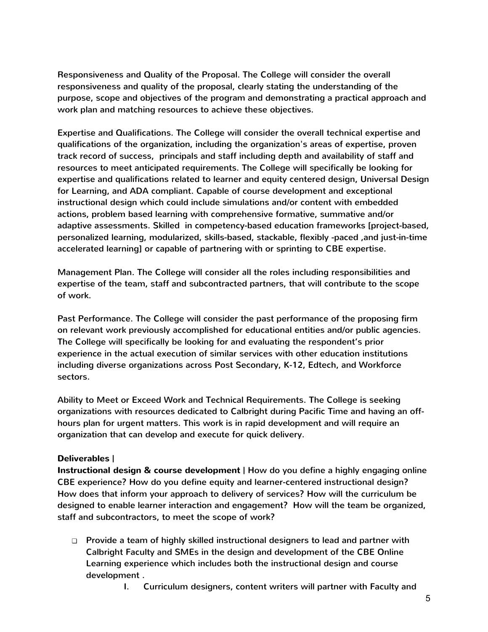Responsiveness and Quality of the Proposal. The College will consider the overall responsiveness and quality of the proposal, clearly stating the understanding of the purpose, scope and objectives of the program and demonstrating a practical approach and work plan and matching resources to achieve these objectives.

Expertise and Qualifications. The College will consider the overall technical expertise and qualifications of the organization, including the organization's areas of expertise, proven track record of success, principals and staff including depth and availability of staff and resources to meet anticipated requirements. The College will specifically be looking for expertise and qualifications related to learner and equity centered design, Universal Design for Learning, and ADA compliant. Capable of course development and exceptional instructional design which could include simulations and/or content with embedded actions, problem based learning with comprehensive formative, summative and/or adaptive assessments. Skilled in competency-based education frameworks [project-based, personalized learning, modularized, skills-based, stackable, flexibly -paced ,and just-in-time accelerated learning] or capable of partnering with or sprinting to CBE expertise.

Management Plan. The College will consider all the roles including responsibilities and expertise of the team, staff and subcontracted partners, that will contribute to the scope of work.

Past Performance. The College will consider the past performance of the proposing firm on relevant work previously accomplished for educational entities and/or public agencies. The College will specifically be looking for and evaluating the respondent's prior experience in the actual execution of similar services with other education institutions including diverse organizations across Post Secondary, K-12, Edtech, and Workforce sectors.

Ability to Meet or Exceed Work and Technical Requirements. The College is seeking organizations with resources dedicated to Calbright during Pacific Time and having an offhours plan for urgent matters. This work is in rapid development and will require an organization that can develop and execute for quick delivery.

### **Deliverables |**

**Instructional design & course development |** How do you define a highly engaging online CBE experience? How do you define equity and learner-centered instructional design? How does that inform your approach to delivery of services? How will the curriculum be designed to enable learner interaction and engagement? How will the team be organized, staff and subcontractors, to meet the scope of work?

- ❏ Provide a team of highly skilled instructional designers to lead and partner with Calbright Faculty and SMEs in the design and development of the CBE Online Learning experience which includes both the instructional design and course development .
	- I. Curriculum designers, content writers will partner with Faculty and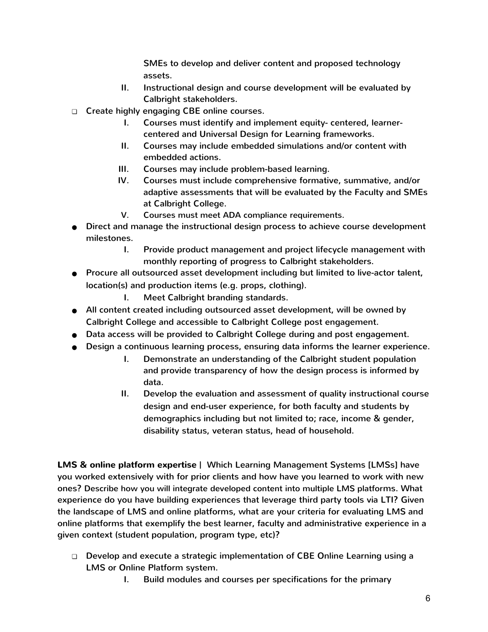SMEs to develop and deliver content and proposed technology assets.

- II. Instructional design and course development will be evaluated by Calbright stakeholders.
- ❏ Create highly engaging CBE online courses.
	- I. Courses must identify and implement equity- centered, learnercentered and Universal Design for Learning frameworks.
	- II. Courses may include embedded simulations and/or content with embedded actions.
	- III. Courses may include problem-based learning.
	- IV. Courses must include comprehensive formative, summative, and/or adaptive assessments that will be evaluated by the Faculty and SMEs at Calbright College.
	- V. Courses must meet ADA compliance requirements.
- Direct and manage the instructional design process to achieve course development milestones.
	- I. Provide product management and project lifecycle management with monthly reporting of progress to Calbright stakeholders.
- Procure all outsourced asset development including but limited to live-actor talent, location(s) and production items (e.g. props, clothing).
	- I. Meet Calbright branding standards.
- All content created including outsourced asset development, will be owned by Calbright College and accessible to Calbright College post engagement.
- Data access will be provided to Calbright College during and post engagement.
- Design a continuous learning process, ensuring data informs the learner experience.
	- I. Demonstrate an understanding of the Calbright student population and provide transparency of how the design process is informed by data.
	- II. Develop the evaluation and assessment of quality instructional course design and end-user experience, for both faculty and students by demographics including but not limited to; race, income & gender, disability status, veteran status, head of household.

**LMS & online platform expertise |** Which Learning Management Systems [LMSs] have you worked extensively with for prior clients and how have you learned to work with new ones? Describe how you will integrate developed content into multiple LMS platforms. What experience do you have building experiences that leverage third party tools via LTI? Given the landscape of LMS and online platforms, what are your criteria for evaluating LMS and online platforms that exemplify the best learner, faculty and administrative experience in a given context (student population, program type, etc)?

- ❏ Develop and execute a strategic implementation of CBE Online Learning using a LMS or Online Platform system.
	- I. Build modules and courses per specifications for the primary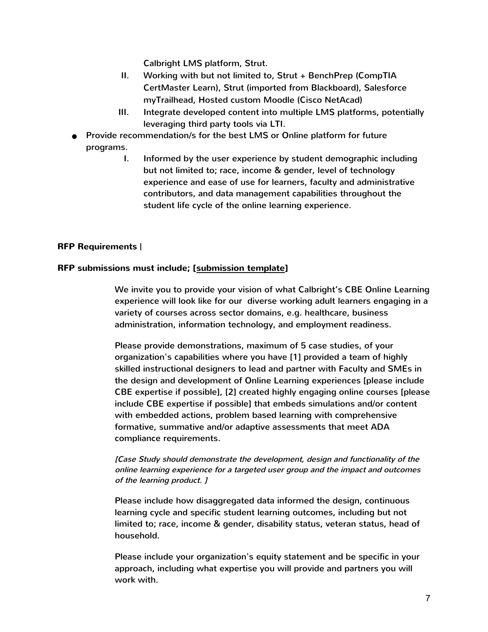Calbright LMS platform, Strut.

- II. Working with but not limited to, Strut + BenchPrep (CompTIA CertMaster Learn), Strut (imported from Blackboard), Salesforce myTrailhead, Hosted custom Moodle (Cisco NetAcad)
- III. Integrate developed content into multiple LMS platforms, potentially leveraging third party tools via LTI.
- Provide recommendation/s for the best LMS or Online platform for future programs.
	- I. Informed by the user experience by student demographic including but not limited to; race, income & gender, level of technology experience and ease of use for learners, faculty and administrative contributors, and data management capabilities throughout the student life cycle of the online learning experience.

### <span id="page-6-0"></span>**RFP Requirements |**

#### **RFP submissions must include; [\[ submission template](https://docs.google.com/document/d/1lxm-KCBXbnS5VuN7in1BuwdKwefpsNYROIIRw5IYrdY/edit?usp=sharing)]**

We invite you to provide your vision of what Calbright's CBE Online Learning experience will look like for our diverse working adult learners engaging in a variety of courses across sector domains, e.g. healthcare, business administration, information technology, and employment readiness.

Please provide demonstrations, maximum of 5 case studies, of your organization's capabilities where you have [1] provided a team of highly skilled instructional designers to lead and partner with Faculty and SMEs in the design and development of Online Learning experiences [please include CBE expertise if possible], [2] created highly engaging online courses [please include CBE expertise if possible] that embeds simulations and/or content with embedded actions, problem based learning with comprehensive formative, summative and/or adaptive assessments that meet ADA compliance requirements.

### [Case Study should demonstrate the development, design and functionality of the online learning experience for a targeted user group and the impact and outcomes of the learning product. ]

Please include how disaggregated data informed the design, continuous learning cycle and specific student learning outcomes, including but not limited to; race, income & gender, disability status, veteran status, head of household.

Please include your organization's equity statement and be specific in your approach, including what expertise you will provide and partners you will work with.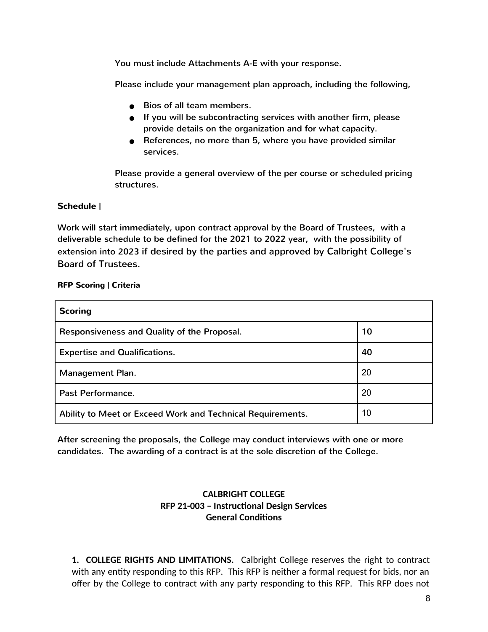You must include Attachments A-E with your response.

Please include your management plan approach, including the following,

- Bios of all team members.
- If you will be subcontracting services with another firm, please provide details on the organization and for what capacity.
- References, no more than 5, where you have provided similar services.

Please provide a general overview of the per course or scheduled pricing structures.

### <span id="page-7-0"></span>**Schedule |**

Work will start immediately, upon contract approval by the Board of Trustees, with a deliverable schedule to be defined for the 2021 to 2022 year, with the possibility of extension into 2023 if desired by the parties and approved by Calbright College's Board of Trustees.

### **RFP Scoring | Criteria**

| <b>Scoring</b>                                             |    |
|------------------------------------------------------------|----|
| Responsiveness and Quality of the Proposal.                | 10 |
| <b>Expertise and Qualifications.</b>                       | 40 |
| Management Plan.                                           | 20 |
| Past Performance.                                          | 20 |
| Ability to Meet or Exceed Work and Technical Requirements. | 10 |

After screening the proposals, the College may conduct interviews with one or more candidates. The awarding of a contract is at the sole discretion of the College.

### **CALBRIGHT COLLEGE RFP 21-003 – Instructional Design Services General Conditions**

**1. COLLEGE RIGHTS AND LIMITATIONS.** Calbright College reserves the right to contract with any entity responding to this RFP. This RFP is neither a formal request for bids, nor an offer by the College to contract with any party responding to this RFP. This RFP does not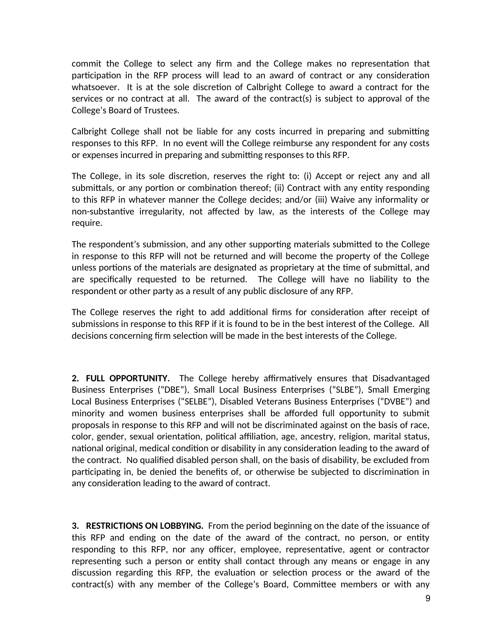commit the College to select any firm and the College makes no representation that participation in the RFP process will lead to an award of contract or any consideration whatsoever. It is at the sole discretion of Calbright College to award a contract for the services or no contract at all. The award of the contract(s) is subject to approval of the College's Board of Trustees.

Calbright College shall not be liable for any costs incurred in preparing and submitting responses to this RFP. In no event will the College reimburse any respondent for any costs or expenses incurred in preparing and submitting responses to this RFP.

The College, in its sole discretion, reserves the right to: (i) Accept or reject any and all submittals, or any portion or combination thereof; (ii) Contract with any entity responding to this RFP in whatever manner the College decides; and/or (iii) Waive any informality or non-substantive irregularity, not affected by law, as the interests of the College may require.

The respondent's submission, and any other supporting materials submitted to the College in response to this RFP will not be returned and will become the property of the College unless portions of the materials are designated as proprietary at the time of submittal, and are specifically requested to be returned. The College will have no liability to the respondent or other party as a result of any public disclosure of any RFP.

The College reserves the right to add additional firms for consideration after receipt of submissions in response to this RFP if it is found to be in the best interest of the College. All decisions concerning firm selection will be made in the best interests of the College.

**2. FULL OPPORTUNITY.** The College hereby affirmatively ensures that Disadvantaged Business Enterprises ("DBE"), Small Local Business Enterprises ("SLBE"), Small Emerging Local Business Enterprises ("SELBE"), Disabled Veterans Business Enterprises ("DVBE") and minority and women business enterprises shall be afforded full opportunity to submit proposals in response to this RFP and will not be discriminated against on the basis of race, color, gender, sexual orientation, political affiliation, age, ancestry, religion, marital status, national original, medical condition or disability in any consideration leading to the award of the contract. No qualified disabled person shall, on the basis of disability, be excluded from participating in, be denied the benefits of, or otherwise be subjected to discrimination in any consideration leading to the award of contract.

**3. RESTRICTIONS ON LOBBYING.** From the period beginning on the date of the issuance of this RFP and ending on the date of the award of the contract, no person, or entity responding to this RFP, nor any officer, employee, representative, agent or contractor representing such a person or entity shall contact through any means or engage in any discussion regarding this RFP, the evaluation or selection process or the award of the contract(s) with any member of the College's Board, Committee members or with any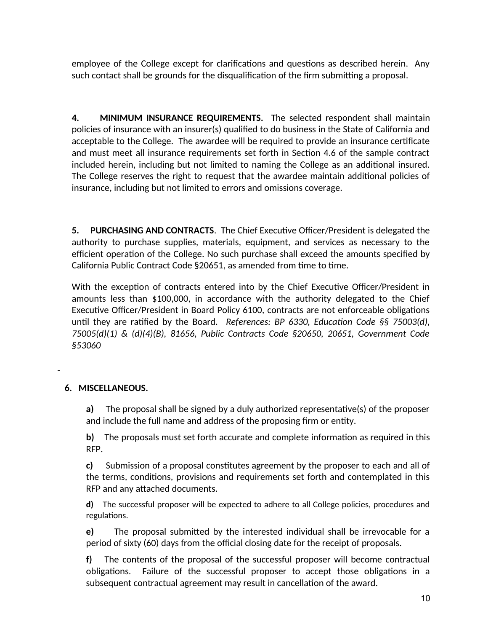employee of the College except for clarifications and questions as described herein. Any such contact shall be grounds for the disqualification of the firm submitting a proposal.

**4. MINIMUM INSURANCE REQUIREMENTS.** The selected respondent shall maintain policies of insurance with an insurer(s) qualified to do business in the State of California and acceptable to the College. The awardee will be required to provide an insurance certificate and must meet all insurance requirements set forth in Section 4.6 of the sample contract included herein, including but not limited to naming the College as an additional insured. The College reserves the right to request that the awardee maintain additional policies of insurance, including but not limited to errors and omissions coverage.

**5. PURCHASING AND CONTRACTS**. The Chief Executive Officer/President is delegated the authority to purchase supplies, materials, equipment, and services as necessary to the efficient operation of the College. No such purchase shall exceed the amounts specified by California Public Contract Code §20651, as amended from time to time.

With the exception of contracts entered into by the Chief Executive Officer/President in amounts less than \$100,000, in accordance with the authority delegated to the Chief Executive Officer/President in Board Policy 6100, contracts are not enforceable obligations until they are ratified by the Board. *References: BP 6330, Education Code §§ 75003(d), 75005(d)(1) & (d)(4)(B), 81656, Public Contracts Code §20650, 20651, Government Code §53060*

### **6. MISCELLANEOUS.**

**a)** The proposal shall be signed by a duly authorized representative(s) of the proposer and include the full name and address of the proposing firm or entity.

**b)** The proposals must set forth accurate and complete information as required in this RFP.

**c)** Submission of a proposal constitutes agreement by the proposer to each and all of the terms, conditions, provisions and requirements set forth and contemplated in this RFP and any attached documents.

**d)** The successful proposer will be expected to adhere to all College policies, procedures and regulations.

**e)** The proposal submitted by the interested individual shall be irrevocable for a period of sixty (60) days from the official closing date for the receipt of proposals.

**f)** The contents of the proposal of the successful proposer will become contractual obligations. Failure of the successful proposer to accept those obligations in a subsequent contractual agreement may result in cancellation of the award.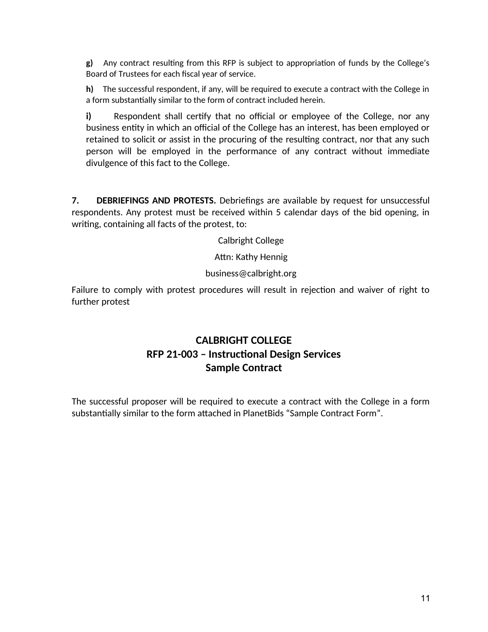**g)** Any contract resulting from this RFP is subject to appropriation of funds by the College's Board of Trustees for each fiscal year of service.

**h)** The successful respondent, if any, will be required to execute a contract with the College in a form substantially similar to the form of contract included herein.

**i)** Respondent shall certify that no official or employee of the College, nor any business entity in which an official of the College has an interest, has been employed or retained to solicit or assist in the procuring of the resulting contract, nor that any such person will be employed in the performance of any contract without immediate divulgence of this fact to the College.

**7. DEBRIEFINGS AND PROTESTS.** Debriefings are available by request for unsuccessful respondents. Any protest must be received within 5 calendar days of the bid opening, in writing, containing all facts of the protest, to:

Calbright College

Attn: Kathy Hennig

business@calbright.org

Failure to comply with protest procedures will result in rejection and waiver of right to further protest

### **CALBRIGHT COLLEGE RFP 21-003 – Instructional Design Services Sample Contract**

The successful proposer will be required to execute a contract with the College in a form substantially similar to the form attached in PlanetBids "Sample Contract Form".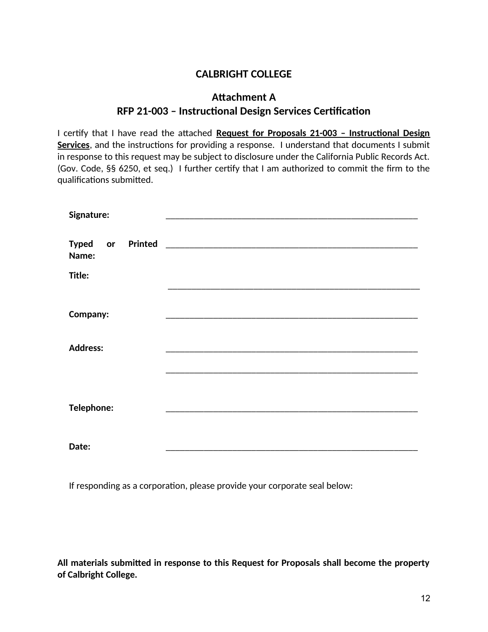### **CALBRIGHT COLLEGE**

### **Attachment A RFP 21-003 – Instructional Design Services Certification**

I certify that I have read the attached **Request for Proposals 21-003 – Instructional Design Services**, and the instructions for providing a response. I understand that documents I submit in response to this request may be subject to disclosure under the California Public Records Act. (Gov. Code, §§ 6250, et seq.) I further certify that I am authorized to commit the firm to the qualifications submitted.

| Signature:                                        |  |
|---------------------------------------------------|--|
| Printed<br><b>Typed</b><br>$\mathbf{or}$<br>Name: |  |
| Title:                                            |  |
|                                                   |  |
| <b>Company:</b>                                   |  |
| <b>Address:</b>                                   |  |
|                                                   |  |
|                                                   |  |
| <b>Telephone:</b>                                 |  |
|                                                   |  |
| Date:                                             |  |

If responding as a corporation, please provide your corporate seal below:

**All materials submitted in response to this Request for Proposals shall become the property of Calbright College.**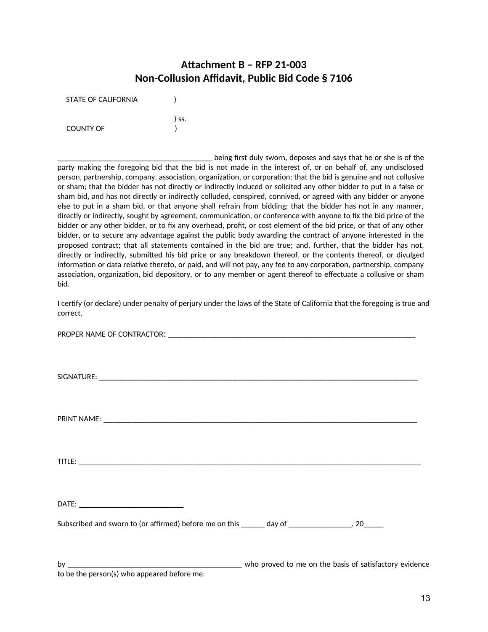### **Attachment B – RFP 21-003 Non-Collusion Affidavit, Public Bid Code § 7106**

| STATE OF CALIFORNIA |       |
|---------------------|-------|
|                     | ) ss. |
| <b>COUNTY OF</b>    |       |

\_\_\_\_\_\_\_\_\_\_\_\_\_\_\_\_\_\_\_\_\_\_\_\_\_\_\_\_\_\_\_\_\_\_\_\_\_\_\_ being first duly sworn, deposes and says that he or she is of the party making the foregoing bid that the bid is not made in the interest of, or on behalf of, any undisclosed person, partnership, company, association, organization, or corporation; that the bid is genuine and not collusive or sham; that the bidder has not directly or indirectly induced or solicited any other bidder to put in a false or sham bid, and has not directly or indirectly colluded, conspired, connived, or agreed with any bidder or anyone else to put in a sham bid, or that anyone shall refrain from bidding; that the bidder has not in any manner, directly or indirectly, sought by agreement, communication, or conference with anyone to fix the bid price of the bidder or any other bidder, or to fix any overhead, profit, or cost element of the bid price, or that of any other bidder, or to secure any advantage against the public body awarding the contract of anyone interested in the proposed contract; that all statements contained in the bid are true; and, further, that the bidder has not, directly or indirectly, submitted his bid price or any breakdown thereof, or the contents thereof, or divulged information or data relative thereto, or paid, and will not pay, any fee to any corporation, partnership, company association, organization, bid depository, or to any member or agent thereof to effectuate a collusive or sham bid.

I certify (or declare) under penalty of perjury under the laws of the State of California that the foregoing is true and correct.

| Subscribed and sworn to (or affirmed) before me on this ______ day of __________________, 20______ |                                                        |  |
|----------------------------------------------------------------------------------------------------|--------------------------------------------------------|--|
| bv                                                                                                 | who proved to me on the basis of satisfactory evidence |  |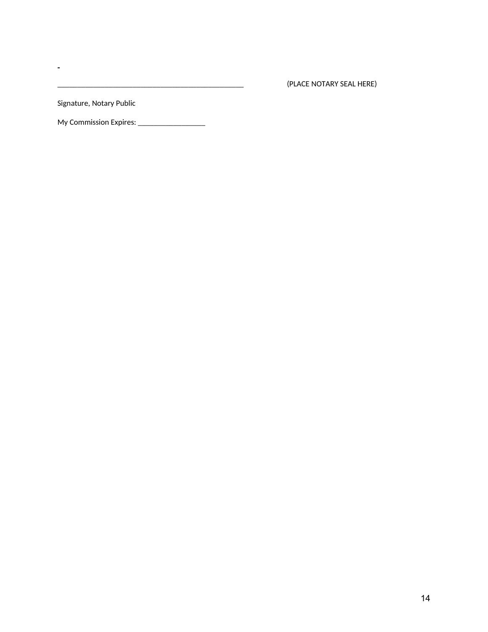\_\_\_\_\_\_\_\_\_\_\_\_\_\_\_\_\_\_\_\_\_\_\_\_\_\_\_\_\_\_\_\_\_\_\_\_\_\_\_\_\_\_\_\_\_\_\_ (PLACE NOTARY SEAL HERE)

Signature, Notary Public

 $\omega$ 

My Commission Expires: \_\_\_\_\_\_\_\_\_\_\_\_\_\_\_\_\_\_\_\_\_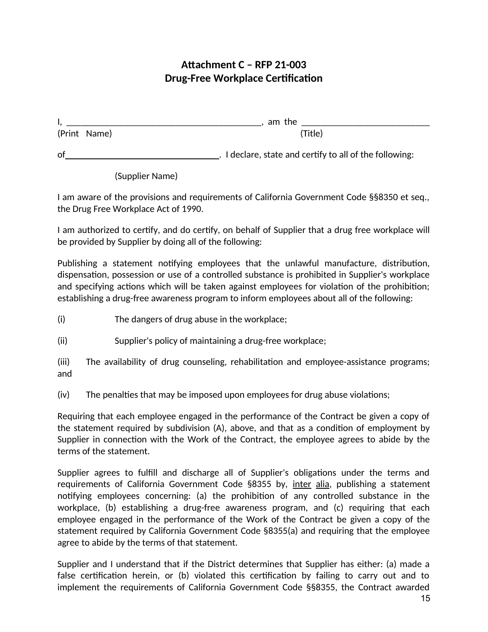### **Attachment C – RFP 21-003 Drug-Free Workplace Certification**

|              | the<br>am |         |
|--------------|-----------|---------|
| (Print Name) |           | 'Title) |
|              |           |         |

of . I declare, state and certify to all of the following:

### (Supplier Name)

I am aware of the provisions and requirements of California Government Code §§8350 et seq., the Drug Free Workplace Act of 1990.

I am authorized to certify, and do certify, on behalf of Supplier that a drug free workplace will be provided by Supplier by doing all of the following:

Publishing a statement notifying employees that the unlawful manufacture, distribution, dispensation, possession or use of a controlled substance is prohibited in Supplier's workplace and specifying actions which will be taken against employees for violation of the prohibition; establishing a drug-free awareness program to inform employees about all of the following:

- (i) The dangers of drug abuse in the workplace;
- (ii) Supplier's policy of maintaining a drug-free workplace;

(iii) The availability of drug counseling, rehabilitation and employee-assistance programs; and

(iv) The penalties that may be imposed upon employees for drug abuse violations;

Requiring that each employee engaged in the performance of the Contract be given a copy of the statement required by subdivision (A), above, and that as a condition of employment by Supplier in connection with the Work of the Contract, the employee agrees to abide by the terms of the statement.

Supplier agrees to fulfill and discharge all of Supplier's obligations under the terms and requirements of California Government Code §8355 by, inter alia, publishing a statement notifying employees concerning: (a) the prohibition of any controlled substance in the workplace, (b) establishing a drug-free awareness program, and (c) requiring that each employee engaged in the performance of the Work of the Contract be given a copy of the statement required by California Government Code §8355(a) and requiring that the employee agree to abide by the terms of that statement.

Supplier and I understand that if the District determines that Supplier has either: (a) made a false certification herein, or (b) violated this certification by failing to carry out and to implement the requirements of California Government Code §§8355, the Contract awarded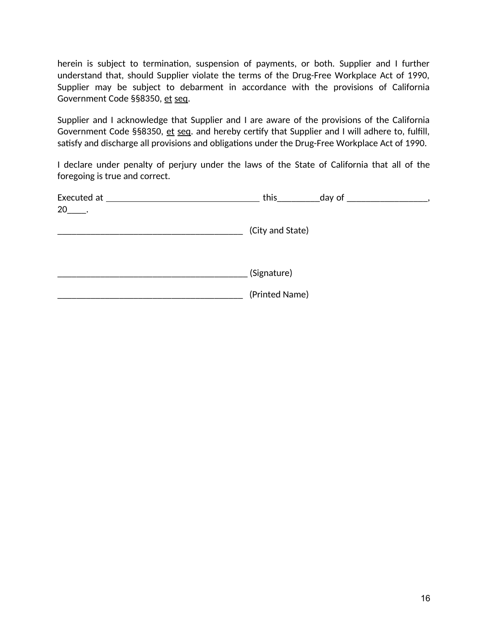herein is subject to termination, suspension of payments, or both. Supplier and I further understand that, should Supplier violate the terms of the Drug-Free Workplace Act of 1990, Supplier may be subject to debarment in accordance with the provisions of California Government Code §§8350, et seq.

Supplier and I acknowledge that Supplier and I are aware of the provisions of the California Government Code §§8350, et seq. and hereby certify that Supplier and I will adhere to, fulfill, satisfy and discharge all provisions and obligations under the Drug-Free Workplace Act of 1990.

I declare under penalty of perjury under the laws of the State of California that all of the foregoing is true and correct.

| Executed at ___ | this_            | _day of _ |  |
|-----------------|------------------|-----------|--|
| 20 .            |                  |           |  |
|                 | (City and State) |           |  |
|                 | (Signature)      |           |  |
|                 |                  |           |  |
|                 | (Printed Name)   |           |  |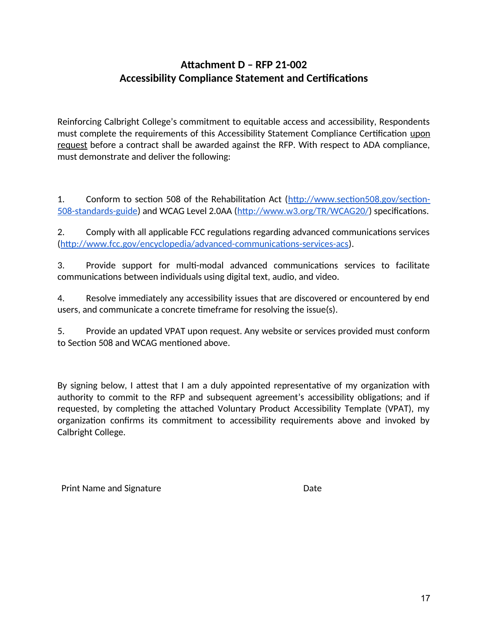## **Attachment D – RFP 21-002 Accessibility Compliance Statement and Certifications**

Reinforcing Calbright College's commitment to equitable access and accessibility, Respondents must complete the requirements of this Accessibility Statement Compliance Certification upon request before a contract shall be awarded against the RFP. With respect to ADA compliance, must demonstrate and deliver the following:

1. Conform to section 508 of the Rehabilitation Act [\(http://www.section508.gov/section-](http://www.section508.gov/section-508-standards-guide)[508-standards-guide\)](http://www.section508.gov/section-508-standards-guide) and WCAG Level 2.0AA (<http://www.w3.org/TR/WCAG20/>) specifications.

2. Comply with all applicable FCC regulations regarding advanced communications services ([http://www.fcc.gov/encyclopedia/advanced-communications-services-acs\)](http://www.fcc.gov/encyclopedia/advanced-communications-services-acs).

3. Provide support for multi-modal advanced communications services to facilitate communications between individuals using digital text, audio, and video.

4. Resolve immediately any accessibility issues that are discovered or encountered by end users, and communicate a concrete timeframe for resolving the issue(s).

5. Provide an updated VPAT upon request. Any website or services provided must conform to Section 508 and WCAG mentioned above.

By signing below, I attest that I am a duly appointed representative of my organization with authority to commit to the RFP and subsequent agreement's accessibility obligations; and if requested, by completing the attached Voluntary Product Accessibility Template (VPAT), my organization confirms its commitment to accessibility requirements above and invoked by Calbright College.

Print Name and Signature **Date** Date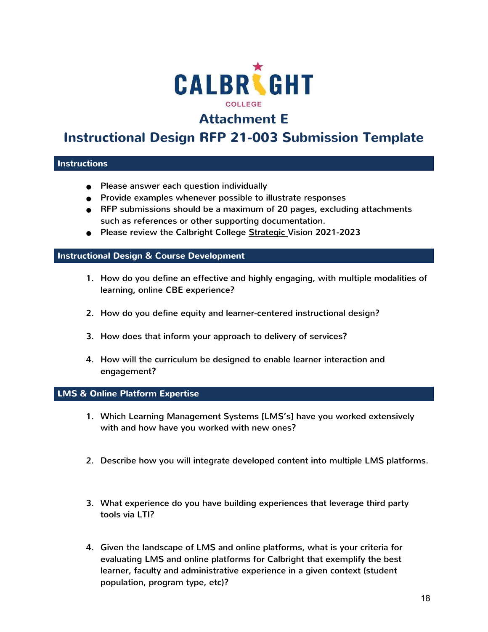

# **Attachment E**

# **Instructional Design RFP 21-003 Submission Template**

### **Instructions**

- Please answer each question individually
- Provide examples whenever possible to illustrate responses
- RFP submissions should be a maximum of 20 pages, excluding attachments such as references or other supporting documentation.
- Please review the Calbright College [Strategic](https://www.calbright.org/wp-content/uploads/2021/04/calbright_strategic_vision_2021-23-1.pdf) Vision 2021-2023

### **Instructional Design & Course Development**

- 1. How do you define an effective and highly engaging, with multiple modalities of learning, online CBE experience?
- 2. How do you define equity and learner-centered instructional design?
- 3. How does that inform your approach to delivery of services?
- 4. How will the curriculum be designed to enable learner interaction and engagement?

#### **LMS & Online Platform Expertise**

- 1. Which Learning Management Systems [LMS's] have you worked extensively with and how have you worked with new ones?
- 2. Describe how you will integrate developed content into multiple LMS platforms.
- 3. What experience do you have building experiences that leverage third party tools via LTI?
- 4. Given the landscape of LMS and online platforms, what is your criteria for evaluating LMS and online platforms for Calbright that exemplify the best learner, faculty and administrative experience in a given context (student population, program type, etc)?